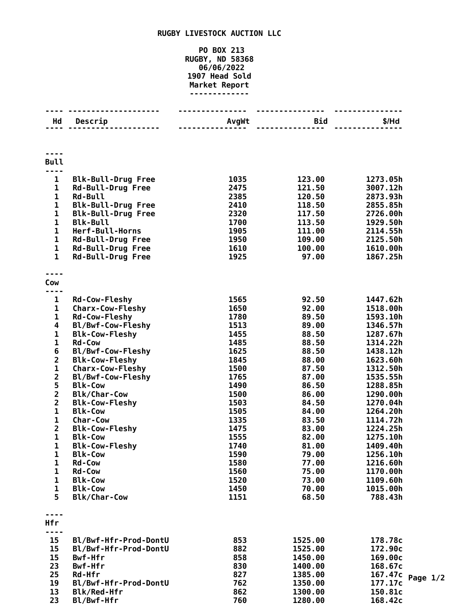## **RUGBY LIVESTOCK AUCTION LLC**

## **PO BOX 213 RUGBY, ND 58368 06/06/2022 Head Sold Market Report -------------**

|                         | <u>.</u>                       | <u>.</u>     | <u>.</u>       |                       |
|-------------------------|--------------------------------|--------------|----------------|-----------------------|
| Hd                      | Descrip                        | AvgWt        | Bid            | $$/$ Hd               |
|                         |                                |              |                |                       |
| <b>Bull</b><br>----     |                                |              |                |                       |
| $\mathbf{1}$            | <b>Blk-Bull-Drug Free</b>      | 1035         | 123.00         | 1273.05h              |
| $\mathbf 1$             | <b>Rd-Bull-Drug Free</b>       | 2475         | 121.50         | 3007.12h              |
| $\mathbf 1$             | <b>Rd-Bull</b>                 | 2385         | 120.50         | 2873.93h              |
| $\mathbf 1$             | <b>Blk-Bull-Drug Free</b>      | 2410         | 118.50         | 2855.85h              |
| $\mathbf{1}$            | <b>Blk-Bull-Drug Free</b>      | 2320         | 117.50         | 2726.00h              |
| $\mathbf{1}$            | <b>Blk-Bull</b>                | 1700         | 113.50         | 1929.50h              |
| $\mathbf 1$             | Herf-Bull-Horns                | 1905         | 111.00         | 2114.55h              |
| $\mathbf 1$             | Rd-Bull-Drug Free              | 1950         | 109.00         | 2125.50h              |
| $\mathbf 1$             | <b>Rd-Bull-Drug Free</b>       | 1610         | 100.00         | 1610.00h              |
| $\mathbf{1}$            | <b>Rd-Bull-Drug Free</b>       | 1925         | 97.00          | 1867.25h              |
| ----<br>Cow             |                                |              |                |                       |
| ----                    |                                |              |                |                       |
| $\mathbf{1}$            | <b>Rd-Cow-Fleshy</b>           | 1565         | 92.50          | 1447.62h              |
| 1                       | <b>Charx-Cow-Fleshy</b>        | 1650         | 92.00          | 1518.00h              |
| $\mathbf{1}$            | <b>Rd-Cow-Fleshy</b>           | 1780         | 89.50          | 1593.10h              |
| 4                       | Bl/Bwf-Cow-Fleshy              | 1513         | 89.00          | 1346.57h              |
| $\mathbf 1$             | <b>Blk-Cow-Fleshy</b>          | 1455         | 88.50          | 1287.67h              |
| $\mathbf{1}$            | <b>Rd-Cow</b>                  | 1485         | 88.50          | 1314.22h              |
| 6                       | Bl/Bwf-Cow-Fleshy              | 1625         | 88.50          | 1438.12h              |
| $\overline{\mathbf{c}}$ | <b>Blk-Cow-Fleshy</b>          | 1845         | 88.00          | 1623.60h              |
| 1                       | <b>Charx-Cow-Fleshy</b>        | 1500         | 87.50          | 1312.50h              |
| $\overline{\mathbf{2}}$ | Bl/Bwf-Cow-Fleshy              | 1765         | 87.00          | 1535.55h              |
| 5                       | <b>Blk-Cow</b>                 | 1490         | 86.50          | 1288.85h              |
| 2                       | <b>Blk/Char-Cow</b>            | 1500         | 86.00          | 1290.00h              |
| $\overline{\mathbf{c}}$ | <b>Blk-Cow-Fleshy</b>          | 1503         | 84.50          | 1270.04h              |
| $\mathbf 1$             | <b>Blk-Cow</b>                 | 1505         | 84.00          | 1264.20h              |
| $\mathbf{1}$            | <b>Char-Cow</b>                | 1335         | 83.50          | 1114.72h              |
| $\overline{\mathbf{2}}$ | <b>Blk-Cow-Fleshy</b>          | 1475         | 83.00          | 1224.25h              |
| 1                       | <b>Blk-Cow</b>                 | 1555         | 82.00          | 1275.10h              |
| 1                       | <b>Blk-Cow-Fleshy</b>          | 1740         | 81.00          | 1409.40h              |
| 1                       | <b>Blk-Cow</b>                 | 1590         | 79.00          | 1256.10h              |
| 1<br>1                  | <b>Rd-Cow</b><br><b>Rd-Cow</b> | 1580<br>1560 | 77.00<br>75.00 | 1216.60h<br>1170.00h  |
| 1                       | <b>Blk-Cow</b>                 | 1520         | 73.00          | 1109.60h              |
| $\mathbf{1}$            | <b>Blk-Cow</b>                 | 1450         | 70.00          | 1015.00h              |
| 5                       | <b>Blk/Char-Cow</b>            | 1151         | 68.50          | 788.43h               |
|                         |                                |              |                |                       |
| Hfr                     |                                |              |                |                       |
| .<br>15                 | Bl/Bwf-Hfr-Prod-DontU          | 853          | 1525.00        | 178.78c               |
| 15                      | Bl/Bwf-Hfr-Prod-DontU          | 882          | 1525.00        | 172.90c               |
| 15                      | Bwf-Hfr                        | 858          | 1450.00        | 169.00c               |
| 23                      | Bwf-Hfr                        | 830          | 1400.00        | 168.67c               |
| 25                      | Rd-Hfr                         | 827          | 1385.00        | 167.47c<br>Page $1/2$ |
| 19                      | Bl/Bwf-Hfr-Prod-DontU          | 762          | 1350.00        | 177.17c               |
| 13                      | Blk/Red-Hfr                    | 862          | 1300.00        | 150.81c               |
| 23                      | Bl/Bwf-Hfr                     | 760          | 1280.00        | 168.42c               |